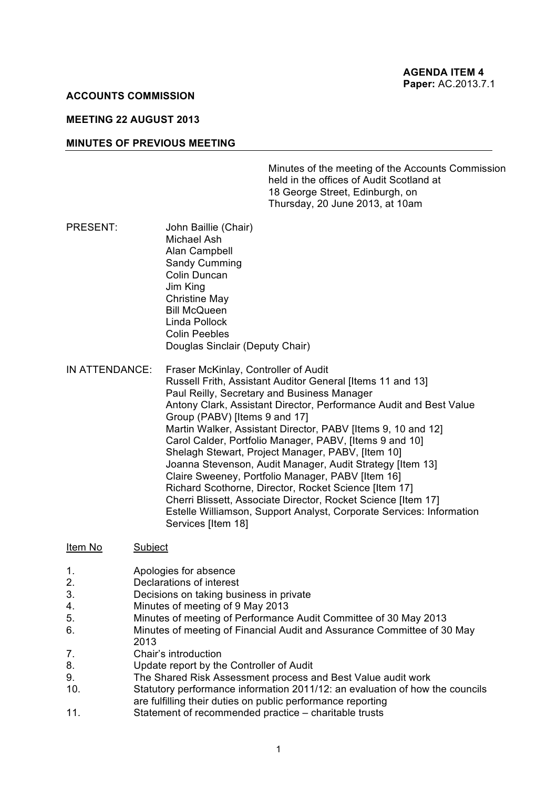## **ACCOUNTS COMMISSION**

# **MEETING 22 AUGUST 2013**

#### **MINUTES OF PREVIOUS MEETING**

Minutes of the meeting of the Accounts Commission held in the offices of Audit Scotland at 18 George Street, Edinburgh, on Thursday, 20 June 2013, at 10am

- PRESENT: John Baillie (Chair) Michael Ash Alan Campbell Sandy Cumming Colin Duncan Jim King Christine May Bill McQueen Linda Pollock Colin Peebles Douglas Sinclair (Deputy Chair)
- IN ATTENDANCE: Fraser McKinlay, Controller of Audit Russell Frith, Assistant Auditor General [Items 11 and 13] Paul Reilly, Secretary and Business Manager Antony Clark, Assistant Director, Performance Audit and Best Value Group (PABV) [Items 9 and 17] Martin Walker, Assistant Director, PABV [Items 9, 10 and 12] Carol Calder, Portfolio Manager, PABV, [Items 9 and 10] Shelagh Stewart, Project Manager, PABV, [Item 10] Joanna Stevenson, Audit Manager, Audit Strategy [Item 13] Claire Sweeney, Portfolio Manager, PABV [Item 16] Richard Scothorne, Director, Rocket Science [Item 17] Cherri Blissett, Associate Director, Rocket Science [Item 17] Estelle Williamson, Support Analyst, Corporate Services: Information Services [Item 18]

#### Item No Subject

- 1. **Apologies for absence**<br>2 **Declarations of interest**
- Declarations of interest
- 3. Decisions on taking business in private
- 4. Minutes of meeting of 9 May 2013
- 5. Minutes of meeting of Performance Audit Committee of 30 May 2013
- 6. Minutes of meeting of Financial Audit and Assurance Committee of 30 May 2013
- 7. Chair's introduction
- 8. Update report by the Controller of Audit
- 9. The Shared Risk Assessment process and Best Value audit work
- 10. Statutory performance information 2011/12: an evaluation of how the councils are fulfilling their duties on public performance reporting
- 11. Statement of recommended practice charitable trusts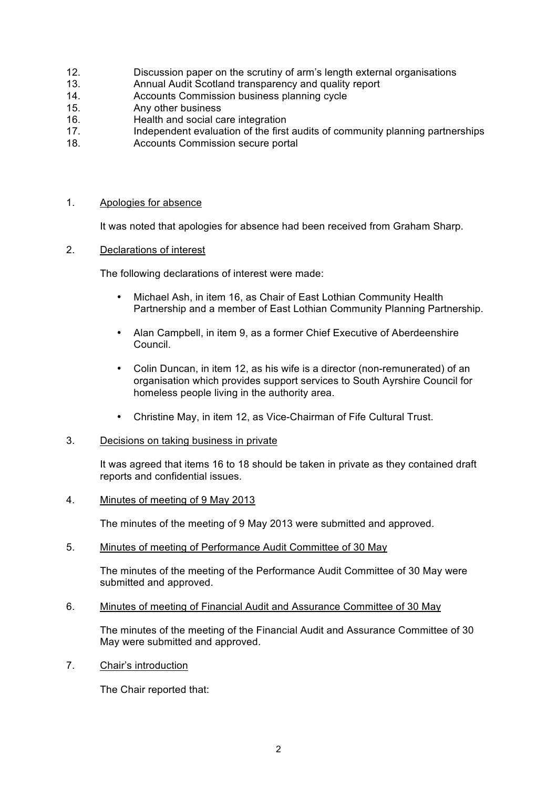- 12. Discussion paper on the scrutiny of arm's length external organisations
- 13. Annual Audit Scotland transparency and quality report
- 14. Accounts Commission business planning cycle
- 15. Any other business
- 16. Health and social care integration
- 17. Independent evaluation of the first audits of community planning partnerships
- 18. Accounts Commission secure portal

# 1. Apologies for absence

It was noted that apologies for absence had been received from Graham Sharp.

2. Declarations of interest

The following declarations of interest were made:

- Michael Ash, in item 16, as Chair of East Lothian Community Health Partnership and a member of East Lothian Community Planning Partnership.
- Alan Campbell, in item 9, as a former Chief Executive of Aberdeenshire Council.
- Colin Duncan, in item 12, as his wife is a director (non-remunerated) of an organisation which provides support services to South Ayrshire Council for homeless people living in the authority area.
- Christine May, in item 12, as Vice-Chairman of Fife Cultural Trust.
- 3. Decisions on taking business in private

It was agreed that items 16 to 18 should be taken in private as they contained draft reports and confidential issues.

4. Minutes of meeting of 9 May 2013

The minutes of the meeting of 9 May 2013 were submitted and approved.

5. Minutes of meeting of Performance Audit Committee of 30 May

The minutes of the meeting of the Performance Audit Committee of 30 May were submitted and approved.

6. Minutes of meeting of Financial Audit and Assurance Committee of 30 May

The minutes of the meeting of the Financial Audit and Assurance Committee of 30 May were submitted and approved.

7. Chair's introduction

The Chair reported that: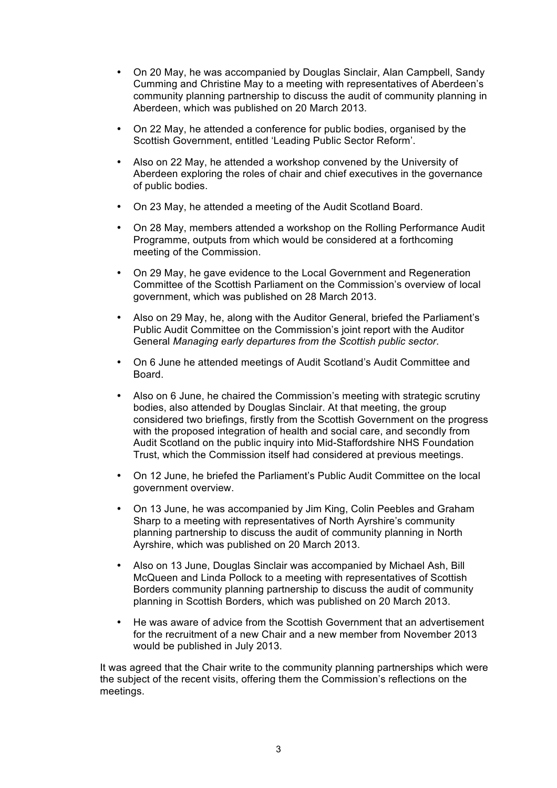- On 20 May, he was accompanied by Douglas Sinclair, Alan Campbell, Sandy Cumming and Christine May to a meeting with representatives of Aberdeen's community planning partnership to discuss the audit of community planning in Aberdeen, which was published on 20 March 2013.
- On 22 May, he attended a conference for public bodies, organised by the Scottish Government, entitled 'Leading Public Sector Reform'.
- Also on 22 May, he attended a workshop convened by the University of Aberdeen exploring the roles of chair and chief executives in the governance of public bodies.
- On 23 May, he attended a meeting of the Audit Scotland Board.
- On 28 May, members attended a workshop on the Rolling Performance Audit Programme, outputs from which would be considered at a forthcoming meeting of the Commission.
- On 29 May, he gave evidence to the Local Government and Regeneration Committee of the Scottish Parliament on the Commission's overview of local government, which was published on 28 March 2013.
- Also on 29 May, he, along with the Auditor General, briefed the Parliament's Public Audit Committee on the Commission's joint report with the Auditor General *Managing early departures from the Scottish public sector*.
- On 6 June he attended meetings of Audit Scotland's Audit Committee and Board.
- Also on 6 June, he chaired the Commission's meeting with strategic scrutiny bodies, also attended by Douglas Sinclair. At that meeting, the group considered two briefings, firstly from the Scottish Government on the progress with the proposed integration of health and social care, and secondly from Audit Scotland on the public inquiry into Mid-Staffordshire NHS Foundation Trust, which the Commission itself had considered at previous meetings.
- On 12 June, he briefed the Parliament's Public Audit Committee on the local government overview.
- On 13 June, he was accompanied by Jim King, Colin Peebles and Graham Sharp to a meeting with representatives of North Ayrshire's community planning partnership to discuss the audit of community planning in North Ayrshire, which was published on 20 March 2013.
- Also on 13 June, Douglas Sinclair was accompanied by Michael Ash, Bill McQueen and Linda Pollock to a meeting with representatives of Scottish Borders community planning partnership to discuss the audit of community planning in Scottish Borders, which was published on 20 March 2013.
- He was aware of advice from the Scottish Government that an advertisement for the recruitment of a new Chair and a new member from November 2013 would be published in July 2013.

It was agreed that the Chair write to the community planning partnerships which were the subject of the recent visits, offering them the Commission's reflections on the meetings.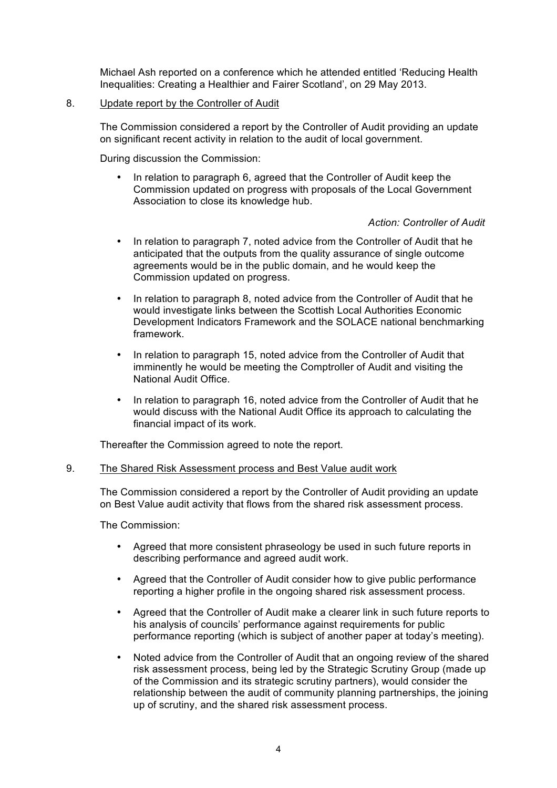Michael Ash reported on a conference which he attended entitled 'Reducing Health Inequalities: Creating a Healthier and Fairer Scotland', on 29 May 2013.

# 8. Update report by the Controller of Audit

The Commission considered a report by the Controller of Audit providing an update on significant recent activity in relation to the audit of local government.

During discussion the Commission:

• In relation to paragraph 6, agreed that the Controller of Audit keep the Commission updated on progress with proposals of the Local Government Association to close its knowledge hub.

## *Action: Controller of Audit*

- In relation to paragraph 7, noted advice from the Controller of Audit that he anticipated that the outputs from the quality assurance of single outcome agreements would be in the public domain, and he would keep the Commission updated on progress.
- In relation to paragraph 8, noted advice from the Controller of Audit that he would investigate links between the Scottish Local Authorities Economic Development Indicators Framework and the SOLACE national benchmarking framework.
- In relation to paragraph 15, noted advice from the Controller of Audit that imminently he would be meeting the Comptroller of Audit and visiting the National Audit Office.
- In relation to paragraph 16, noted advice from the Controller of Audit that he would discuss with the National Audit Office its approach to calculating the financial impact of its work.

Thereafter the Commission agreed to note the report.

## 9. The Shared Risk Assessment process and Best Value audit work

The Commission considered a report by the Controller of Audit providing an update on Best Value audit activity that flows from the shared risk assessment process.

The Commission:

- Agreed that more consistent phraseology be used in such future reports in describing performance and agreed audit work.
- Agreed that the Controller of Audit consider how to give public performance reporting a higher profile in the ongoing shared risk assessment process.
- Agreed that the Controller of Audit make a clearer link in such future reports to his analysis of councils' performance against requirements for public performance reporting (which is subject of another paper at today's meeting).
- Noted advice from the Controller of Audit that an ongoing review of the shared risk assessment process, being led by the Strategic Scrutiny Group (made up of the Commission and its strategic scrutiny partners), would consider the relationship between the audit of community planning partnerships, the joining up of scrutiny, and the shared risk assessment process.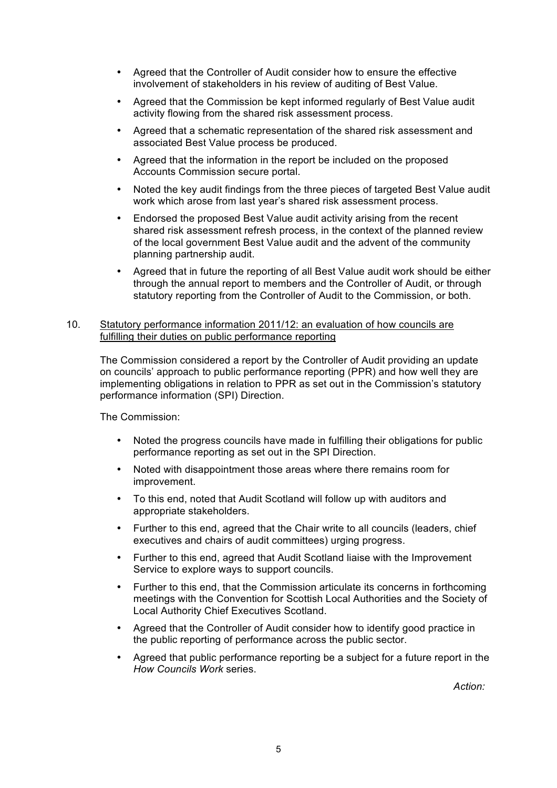- Agreed that the Controller of Audit consider how to ensure the effective involvement of stakeholders in his review of auditing of Best Value.
- Agreed that the Commission be kept informed regularly of Best Value audit activity flowing from the shared risk assessment process.
- Agreed that a schematic representation of the shared risk assessment and associated Best Value process be produced.
- Agreed that the information in the report be included on the proposed Accounts Commission secure portal.
- Noted the key audit findings from the three pieces of targeted Best Value audit work which arose from last year's shared risk assessment process.
- Endorsed the proposed Best Value audit activity arising from the recent shared risk assessment refresh process, in the context of the planned review of the local government Best Value audit and the advent of the community planning partnership audit.
- Agreed that in future the reporting of all Best Value audit work should be either through the annual report to members and the Controller of Audit, or through statutory reporting from the Controller of Audit to the Commission, or both.

# 10. Statutory performance information 2011/12: an evaluation of how councils are fulfilling their duties on public performance reporting

The Commission considered a report by the Controller of Audit providing an update on councils' approach to public performance reporting (PPR) and how well they are implementing obligations in relation to PPR as set out in the Commission's statutory performance information (SPI) Direction.

The Commission:

- Noted the progress councils have made in fulfilling their obligations for public performance reporting as set out in the SPI Direction.
- Noted with disappointment those areas where there remains room for improvement.
- To this end, noted that Audit Scotland will follow up with auditors and appropriate stakeholders.
- Further to this end, agreed that the Chair write to all councils (leaders, chief executives and chairs of audit committees) urging progress.
- Further to this end, agreed that Audit Scotland liaise with the Improvement Service to explore ways to support councils.
- Further to this end, that the Commission articulate its concerns in forthcoming meetings with the Convention for Scottish Local Authorities and the Society of Local Authority Chief Executives Scotland.
- Agreed that the Controller of Audit consider how to identify good practice in the public reporting of performance across the public sector.
- Agreed that public performance reporting be a subject for a future report in the *How Councils Work* series.

*Action:*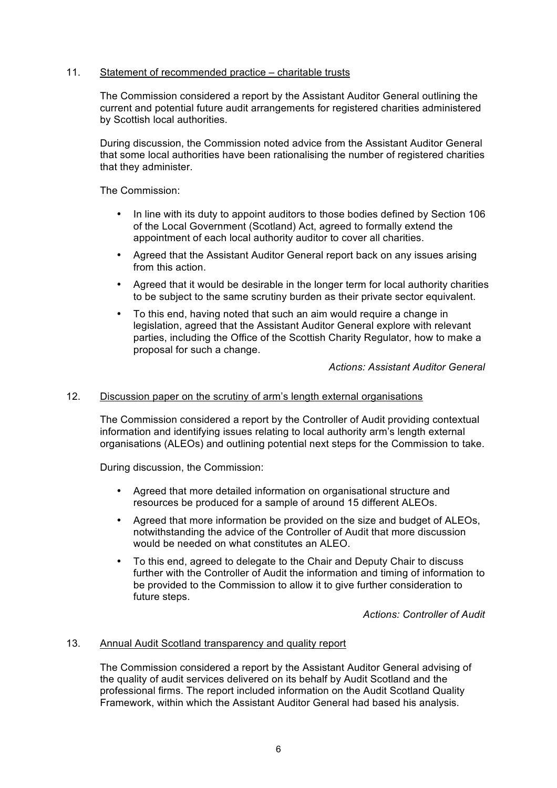# 11. Statement of recommended practice – charitable trusts

The Commission considered a report by the Assistant Auditor General outlining the current and potential future audit arrangements for registered charities administered by Scottish local authorities.

During discussion, the Commission noted advice from the Assistant Auditor General that some local authorities have been rationalising the number of registered charities that they administer.

The Commission:

- In line with its duty to appoint auditors to those bodies defined by Section 106 of the Local Government (Scotland) Act, agreed to formally extend the appointment of each local authority auditor to cover all charities.
- Agreed that the Assistant Auditor General report back on any issues arising from this action.
- Agreed that it would be desirable in the longer term for local authority charities to be subject to the same scrutiny burden as their private sector equivalent.
- To this end, having noted that such an aim would require a change in legislation, agreed that the Assistant Auditor General explore with relevant parties, including the Office of the Scottish Charity Regulator, how to make a proposal for such a change.

*Actions: Assistant Auditor General*

## 12. Discussion paper on the scrutiny of arm's length external organisations

The Commission considered a report by the Controller of Audit providing contextual information and identifying issues relating to local authority arm's length external organisations (ALEOs) and outlining potential next steps for the Commission to take.

During discussion, the Commission:

- Agreed that more detailed information on organisational structure and resources be produced for a sample of around 15 different ALEOs.
- Agreed that more information be provided on the size and budget of ALEOs, notwithstanding the advice of the Controller of Audit that more discussion would be needed on what constitutes an ALEO.
- To this end, agreed to delegate to the Chair and Deputy Chair to discuss further with the Controller of Audit the information and timing of information to be provided to the Commission to allow it to give further consideration to future steps.

*Actions: Controller of Audit*

## 13. Annual Audit Scotland transparency and quality report

The Commission considered a report by the Assistant Auditor General advising of the quality of audit services delivered on its behalf by Audit Scotland and the professional firms. The report included information on the Audit Scotland Quality Framework, within which the Assistant Auditor General had based his analysis.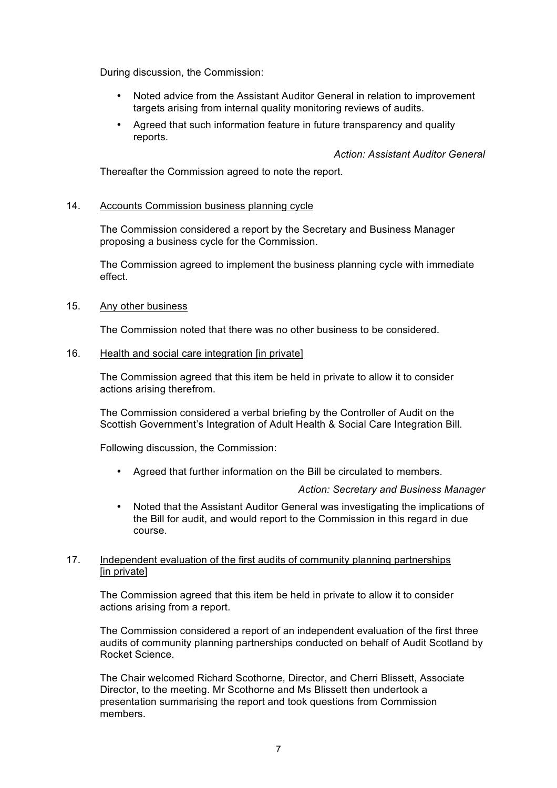During discussion, the Commission:

- Noted advice from the Assistant Auditor General in relation to improvement targets arising from internal quality monitoring reviews of audits.
- Agreed that such information feature in future transparency and quality reports.

*Action: Assistant Auditor General*

Thereafter the Commission agreed to note the report.

## 14. Accounts Commission business planning cycle

The Commission considered a report by the Secretary and Business Manager proposing a business cycle for the Commission.

The Commission agreed to implement the business planning cycle with immediate effect.

#### 15. Any other business

The Commission noted that there was no other business to be considered.

## 16. Health and social care integration [in private]

The Commission agreed that this item be held in private to allow it to consider actions arising therefrom.

The Commission considered a verbal briefing by the Controller of Audit on the Scottish Government's Integration of Adult Health & Social Care Integration Bill.

Following discussion, the Commission:

• Agreed that further information on the Bill be circulated to members.

#### *Action: Secretary and Business Manager*

• Noted that the Assistant Auditor General was investigating the implications of the Bill for audit, and would report to the Commission in this regard in due course.

## 17. Independent evaluation of the first audits of community planning partnerships [in private]

The Commission agreed that this item be held in private to allow it to consider actions arising from a report.

The Commission considered a report of an independent evaluation of the first three audits of community planning partnerships conducted on behalf of Audit Scotland by Rocket Science.

The Chair welcomed Richard Scothorne, Director, and Cherri Blissett, Associate Director, to the meeting. Mr Scothorne and Ms Blissett then undertook a presentation summarising the report and took questions from Commission members.